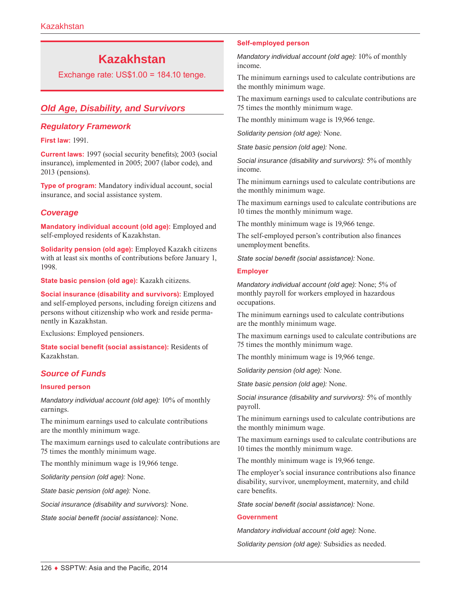# **Kazakhstan**

Exchange rate: US\$1.00 = 184.10 tenge.

# *Old Age, Disability, and Survivors*

#### *Regulatory Framework*

**First law:** 1991.

**Current laws:** 1997 (social security benefits); 2003 (social insurance), implemented in 2005; 2007 (labor code), and 2013 (pensions).

**Type of program:** Mandatory individual account, social insurance, and social assistance system.

#### *Coverage*

**Mandatory individual account (old age):** Employed and self-employed residents of Kazakhstan.

**Solidarity pension (old age):** Employed Kazakh citizens with at least six months of contributions before January 1, 1998.

**State basic pension (old age):** Kazakh citizens.

**Social insurance (disability and survivors):** Employed and self-employed persons, including foreign citizens and persons without citizenship who work and reside permanently in Kazakhstan.

Exclusions: Employed pensioners.

**State social benefit (social assistance):** Residents of Kazakhstan.

#### *Source of Funds*

#### **Insured person**

*Mandatory individual account (old age):* 10% of monthly earnings.

The minimum earnings used to calculate contributions are the monthly minimum wage.

The maximum earnings used to calculate contributions are 75 times the monthly minimum wage.

The monthly minimum wage is 19,966 tenge.

*Solidarity pension (old age):* None.

*State basic pension (old age):* None.

*Social insurance (disability and survivors):* None.

*State social benefit (social assistance):* None.

#### **Self-employed person**

*Mandatory individual account (old age):* 10% of monthly income.

The minimum earnings used to calculate contributions are the monthly minimum wage.

The maximum earnings used to calculate contributions are 75 times the monthly minimum wage.

The monthly minimum wage is 19,966 tenge.

*Solidarity pension (old age):* None.

*State basic pension (old age):* None.

*Social insurance (disability and survivors):* 5% of monthly income.

The minimum earnings used to calculate contributions are the monthly minimum wage.

The maximum earnings used to calculate contributions are 10 times the monthly minimum wage.

The monthly minimum wage is 19,966 tenge.

The self-employed person's contribution also finances unemployment benefits.

*State social benefit (social assistance):* None.

#### **Employer**

*Mandatory individual account (old age):* None; 5% of monthly payroll for workers employed in hazardous occupations.

The minimum earnings used to calculate contributions are the monthly minimum wage.

The maximum earnings used to calculate contributions are 75 times the monthly minimum wage.

The monthly minimum wage is 19,966 tenge.

*Solidarity pension (old age):* None.

*State basic pension (old age):* None.

*Social insurance (disability and survivors):* 5% of monthly payroll.

The minimum earnings used to calculate contributions are the monthly minimum wage.

The maximum earnings used to calculate contributions are 10 times the monthly minimum wage.

The monthly minimum wage is 19,966 tenge.

The employer's social insurance contributions also finance disability, survivor, unemployment, maternity, and child care benefits.

*State social benefit (social assistance):* None.

#### **Government**

*Mandatory individual account (old age):* None.

*Solidarity pension (old age):* Subsidies as needed.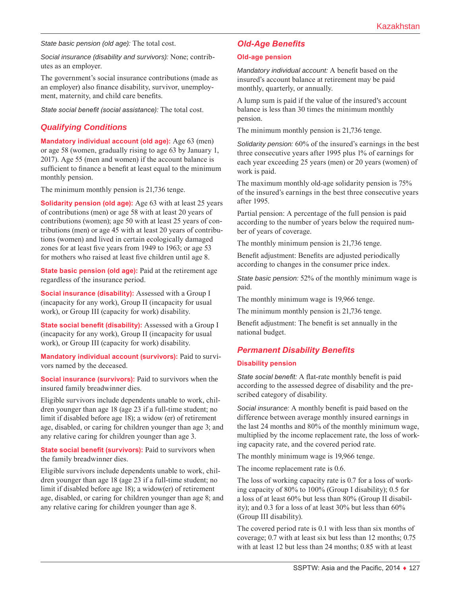*State basic pension (old age):* The total cost.

*Social insurance (disability and survivors):* None; contributes as an employer.

The government's social insurance contributions (made as an employer) also finance disability, survivor, unemployment, maternity, and child care benefits.

*State social benefit (social assistance):* The total cost.

# *Qualifying Conditions*

**Mandatory individual account (old age):** Age 63 (men) or age 58 (women, gradually rising to age 63 by January 1, 2017). Age 55 (men and women) if the account balance is sufficient to finance a benefit at least equal to the minimum monthly pension.

The minimum monthly pension is 21,736 tenge.

**Solidarity pension (old age):** Age 63 with at least 25 years of contributions (men) or age 58 with at least 20 years of contributions (women); age 50 with at least 25 years of contributions (men) or age 45 with at least 20 years of contributions (women) and lived in certain ecologically damaged zones for at least five years from 1949 to 1963; or age 53 for mothers who raised at least five children until age 8.

**State basic pension (old age):** Paid at the retirement age regardless of the insurance period.

**Social insurance (disability):** Assessed with a Group I (incapacity for any work), Group II (incapacity for usual work), or Group III (capacity for work) disability.

**State social benefit (disability):** Assessed with a Group I (incapacity for any work), Group II (incapacity for usual work), or Group III (capacity for work) disability.

**Mandatory individual account (survivors):** Paid to survivors named by the deceased.

**Social insurance (survivors):** Paid to survivors when the insured family breadwinner dies.

Eligible survivors include dependents unable to work, children younger than age 18 (age 23 if a full-time student; no limit if disabled before age 18); a widow (er) of retirement age, disabled, or caring for children younger than age 3; and any relative caring for children younger than age 3.

**State social benefit (survivors):** Paid to survivors when the family breadwinner dies.

Eligible survivors include dependents unable to work, children younger than age 18 (age 23 if a full-time student; no limit if disabled before age 18); a widow(er) of retirement age, disabled, or caring for children younger than age 8; and any relative caring for children younger than age 8.

# *Old-Age Benefits*

#### **Old-age pension**

*Mandatory individual account:* A benefit based on the insured's account balance at retirement may be paid monthly, quarterly, or annually.

A lump sum is paid if the value of the insured's account balance is less than 30 times the minimum monthly pension.

The minimum monthly pension is 21,736 tenge.

*Solidarity pension:* 60% of the insured's earnings in the best three consecutive years after 1995 plus 1% of earnings for each year exceeding 25 years (men) or 20 years (women) of work is paid.

The maximum monthly old-age solidarity pension is 75% of the insured's earnings in the best three consecutive years after 1995.

Partial pension: A percentage of the full pension is paid according to the number of years below the required number of years of coverage.

The monthly minimum pension is 21,736 tenge.

Benefit adjustment: Benefits are adjusted periodically according to changes in the consumer price index.

*State basic pension:* 52% of the monthly minimum wage is paid.

The monthly minimum wage is 19,966 tenge.

The minimum monthly pension is 21,736 tenge.

Benefit adjustment: The benefit is set annually in the national budget.

# *Permanent Disability Benefits*

#### **Disability pension**

*State social benefit:* A flat-rate monthly benefit is paid according to the assessed degree of disability and the prescribed category of disability.

*Social insurance:* A monthly benefit is paid based on the difference between average monthly insured earnings in the last 24 months and 80% of the monthly minimum wage, multiplied by the income replacement rate, the loss of working capacity rate, and the covered period rate.

The monthly minimum wage is 19,966 tenge.

The income replacement rate is 0.6.

The loss of working capacity rate is 0.7 for a loss of working capacity of 80% to 100% (Group I disability); 0.5 for a loss of at least 60% but less than 80% (Group II disability); and 0.3 for a loss of at least 30% but less than 60% (Group III disability).

The covered period rate is 0.1 with less than six months of coverage; 0.7 with at least six but less than 12 months; 0.75 with at least 12 but less than 24 months; 0.85 with at least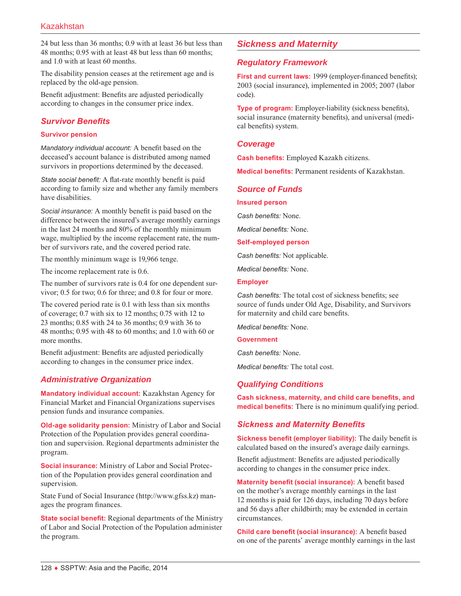24 but less than 36 months; 0.9 with at least 36 but less than 48 months; 0.95 with at least 48 but less than 60 months; and 1.0 with at least 60 months.

The disability pension ceases at the retirement age and is replaced by the old-age pension.

Benefit adjustment: Benefits are adjusted periodically according to changes in the consumer price index.

# *Survivor Benefits*

#### **Survivor pension**

*Mandatory individual account:* A benefit based on the deceased's account balance is distributed among named survivors in proportions determined by the deceased.

*State social benefit:* A flat-rate monthly benefit is paid according to family size and whether any family members have disabilities.

*Social insurance:* A monthly benefit is paid based on the difference between the insured's average monthly earnings in the last 24 months and 80% of the monthly minimum wage, multiplied by the income replacement rate, the number of survivors rate, and the covered period rate.

The monthly minimum wage is 19,966 tenge.

The income replacement rate is 0.6.

The number of survivors rate is 0.4 for one dependent survivor; 0.5 for two; 0.6 for three; and 0.8 for four or more.

The covered period rate is 0.1 with less than six months of coverage; 0.7 with six to 12 months; 0.75 with 12 to 23 months; 0.85 with 24 to 36 months; 0.9 with 36 to 48 months; 0.95 with 48 to 60 months; and 1.0 with 60 or more months.

Benefit adjustment: Benefits are adjusted periodically according to changes in the consumer price index.

# *Administrative Organization*

**Mandatory individual account:** Kazakhstan Agency for Financial Market and Financial Organizations supervises pension funds and insurance companies.

**Old-age solidarity pension:** Ministry of Labor and Social Protection of the Population provides general coordination and supervision. Regional departments administer the program.

**Social insurance:** Ministry of Labor and Social Protection of the Population provides general coordination and supervision.

State Fund of Social Insurance [\(http://www.gfss.kz](http://www.gfss.kz)) manages the program finances.

**State social benefit:** Regional departments of the Ministry of Labor and Social Protection of the Population administer the program.

# *Sickness and Maternity*

#### *Regulatory Framework*

**First and current laws:** 1999 (employer-financed benefits); 2003 (social insurance), implemented in 2005; 2007 (labor code).

**Type of program:** Employer-liability (sickness benefits), social insurance (maternity benefits), and universal (medical benefits) system.

#### *Coverage*

**Cash benefits:** Employed Kazakh citizens.

**Medical benefits:** Permanent residents of Kazakhstan.

#### *Source of Funds*

**Insured person**

*Cash benefits:* None.

*Medical benefits:* None.

**Self-employed person**

*Cash benefits:* Not applicable.

*Medical benefits:* None.

#### **Employer**

*Cash benefits:* The total cost of sickness benefits; see source of funds under Old Age, Disability, and Survivors for maternity and child care benefits.

*Medical benefits:* None.

**Government**

*Cash benefits:* None.

*Medical benefits:* The total cost.

# *Qualifying Conditions*

**Cash sickness, maternity, and child care benefits, and medical benefits:** There is no minimum qualifying period.

# *Sickness and Maternity Benefits*

**Sickness benefit (employer liability):** The daily benefit is calculated based on the insured's average daily earnings.

Benefit adjustment: Benefits are adjusted periodically according to changes in the consumer price index.

**Maternity benefit (social insurance):** A benefit based on the mother's average monthly earnings in the last 12 months is paid for 126 days, including 70 days before and 56 days after childbirth; may be extended in certain circumstances.

**Child care benefit (social insurance):** A benefit based on one of the parents' average monthly earnings in the last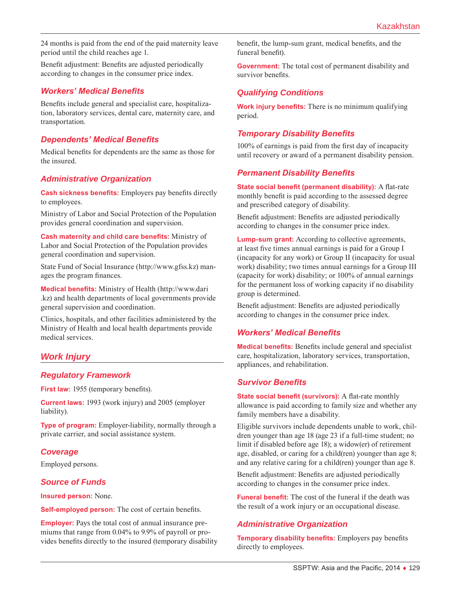24 months is paid from the end of the paid maternity leave period until the child reaches age 1.

Benefit adjustment: Benefits are adjusted periodically according to changes in the consumer price index.

#### *Workers' Medical Benefits*

Benefits include general and specialist care, hospitalization, laboratory services, dental care, maternity care, and transportation.

# *Dependents' Medical Benefits*

Medical benefits for dependents are the same as those for the insured.

#### *Administrative Organization*

**Cash sickness benefits:** Employers pay benefits directly to employees.

Ministry of Labor and Social Protection of the Population provides general coordination and supervision.

**Cash maternity and child care benefits:** Ministry of Labor and Social Protection of the Population provides general coordination and supervision.

State Fund of Social Insurance [\(http://www.gfss.kz](http://www.gfss.kz)) manages the program finances.

**Medical benefits:** Ministry of Health ([http://www.dari](http://www.dari.kz) [.kz\)](http://www.dari.kz) and health departments of local governments provide general supervision and coordination.

Clinics, hospitals, and other facilities administered by the Ministry of Health and local health departments provide medical services.

# *Work Injury*

#### *Regulatory Framework*

**First law:** 1955 (temporary benefits).

**Current laws:** 1993 (work injury) and 2005 (employer liability).

**Type of program:** Employer-liability, normally through a private carrier, and social assistance system.

#### *Coverage*

Employed persons.

#### *Source of Funds*

**Insured person:** None.

**Self-employed person:** The cost of certain benefits.

**Employer:** Pays the total cost of annual insurance premiums that range from 0.04% to 9.9% of payroll or provides benefits directly to the insured (temporary disability benefit, the lump-sum grant, medical benefits, and the funeral benefit).

**Government:** The total cost of permanent disability and survivor benefits.

#### *Qualifying Conditions*

**Work injury benefits:** There is no minimum qualifying period.

#### *Temporary Disability Benefits*

100% of earnings is paid from the first day of incapacity until recovery or award of a permanent disability pension.

#### *Permanent Disability Benefits*

**State social benefit (permanent disability):** A flat-rate monthly benefit is paid according to the assessed degree and prescribed category of disability.

Benefit adjustment: Benefits are adjusted periodically according to changes in the consumer price index.

**Lump-sum grant:** According to collective agreements, at least five times annual earnings is paid for a Group I (incapacity for any work) or Group II (incapacity for usual work) disability; two times annual earnings for a Group III (capacity for work) disability; or 100% of annual earnings for the permanent loss of working capacity if no disability group is determined.

Benefit adjustment: Benefits are adjusted periodically according to changes in the consumer price index.

#### *Workers' Medical Benefits*

**Medical benefits:** Benefits include general and specialist care, hospitalization, laboratory services, transportation, appliances, and rehabilitation.

#### *Survivor Benefits*

**State social benefit (survivors):** A flat-rate monthly allowance is paid according to family size and whether any family members have a disability.

Eligible survivors include dependents unable to work, children younger than age 18 (age 23 if a full-time student; no limit if disabled before age 18); a widow(er) of retirement age, disabled, or caring for a child(ren) younger than age 8; and any relative caring for a child(ren) younger than age 8.

Benefit adjustment: Benefits are adjusted periodically according to changes in the consumer price index.

**Funeral benefit:** The cost of the funeral if the death was the result of a work injury or an occupational disease.

#### *Administrative Organization*

**Temporary disability benefits:** Employers pay benefits directly to employees.